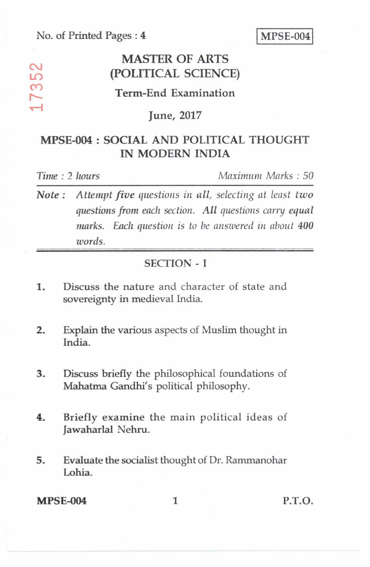No. of Printed Pages : 4 MPSE-004

## **MASTER OF ARTS (POLITICAL SCIENCE)**

### **Term-End Examination**

#### **June, 2017**

## **MPSE-004 : SOCIAL AND POLITICAL THOUGHT IN MODERN INDIA**

 $\sim$  $\overline{D}$ ო  $\overline{\phantom{1}}$  $\overline{\phantom{a}}$ 

*Time :* 2 *hours Maximum Marks : 50* 

*Note : Attempt five questions in all, selecting at least two questions from each section. All questions carry equal marks. Each question is to he answered in about 400 words.* 

#### SECTION - I

- 1. Discuss the nature and character of state and sovereignty in medieval India.
- 2. Explain the various aspects of Muslim thought in India.
- 3. Discuss briefly the philosophical foundations of Mahatma Gandhi's political philosophy.
- 4. Briefly examine the main political ideas of Jawaharlal Nehru.
- 5. Evaluate the socialist thought of Dr. Rammanohar Lohia.

#### **MPSE-004 1 P.T.O.**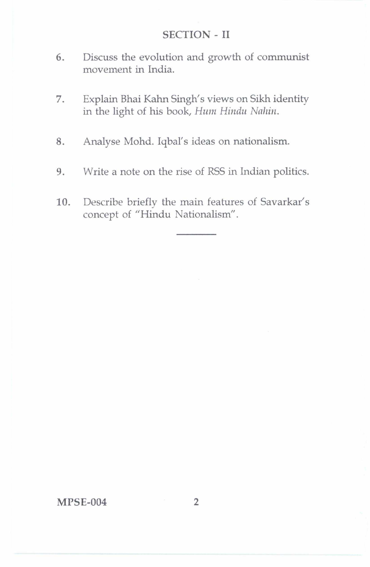#### SECTION-II

- 6. Discuss the evolution and growth of communist movement in India.
- 7. Explain Bhai Kahn Singh's views on Sikh identity in the light of his book, *Hum Hindu Nahin.*
- 8. Analyse Mohd. Iqbal's ideas on nationalism.
- 9. Write a note on the rise of RSS in Indian politics.
- 10. Describe briefly the main features of Savarkar's concept of "Hindu Nationalism".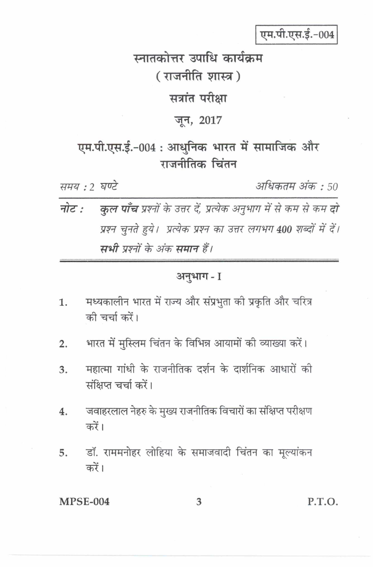एम.पी.एस.ई.-004

# स्नातकोत्तर उपाधि कार्यक्रम (राजनीति शास्त्र)

## सत्रांत परीक्षा

## जून, 2017

## एम.पी.एस.ई.-004 : आधुनिक भारत में सामाजिक और गजनीतिक चिंतन

समय : ? घण्टे

अधिकतम अंक : 50

कुल पाँच प्रश्नों के उत्तर दें, प्रत्येक अनुभाग में से कम से कम दो नोट : प्रश्न चुनते हुये। प्रत्येक प्रश्न का उत्तर लगभग 400 शब्दों में दें। मभी पश्नों के अंक ममान हैं।

#### अनुभाग - I

- मध्यकालीन भारत में राज्य और संप्रभुता की प्रकृति और चरित्र  $\mathbf{1}$ . की चर्चा करें।
- भारत में मस्लिम चिंतन के विभिन्न आयामों की व्याख्या करें।  $\overline{2}$ .
- महात्मा गांधी के राजनीतिक दर्शन के दार्शनिक आधारों की 3. संक्षिप्त चर्चा करें।
- जवाहरलाल नेहरु के मुख्य राजनीतिक विचारों का संक्षिप्त परीक्षण 4. करें।
- डॉ. राममनोहर लोहिया के समाजवादी चिंतन का मूल्यांकन 5. करें।

**MPSE-004** 

3

P.T.O.